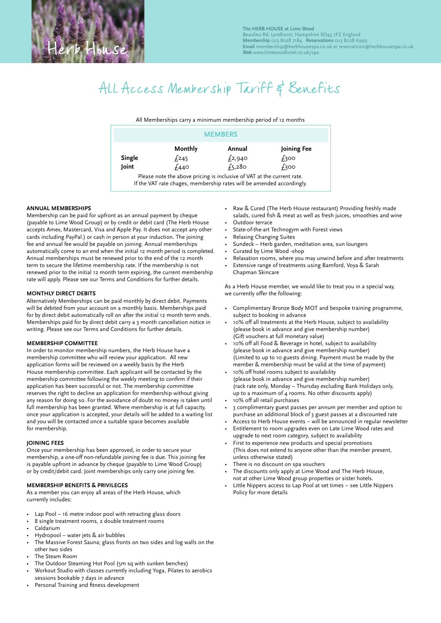# All Access Membership Tariff & Benefits

All Memberships carry a minimum membership period of 12 months

|        |         | <b>MEMBERS</b> |                  |
|--------|---------|----------------|------------------|
|        | Monthly | Annual         | Joining Fee      |
| Single | £245    | $f_{2,940}$    | f <sub>300</sub> |
| Joint  | £440    | $f_{5,280}$    | $f_3$ 00         |

If the VAT rate chages, membership rates will be amended accordingly.

### **ANNUAL MEMBERSHIPS**

Membership can be paid for upfront as an annual payment by cheque (payable to Lime Wood Group) or by credit or debit card (The Herb House accepts Amex, Mastercard, Visa and Apple Pay. It does not accept any other cards including PayPal.) or cash in person at your induction. The joining fee and annual fee would be payable on joining. Annual memberships automatically come to an end when the initial 12 month period is completed. Annual memberships must be renewed prior to the end of the 12 month term to secure the lifetime membership rate. If the membership is not renewed prior to the initial 12 month term expiring, the current membership rate will apply. Please see our Terms and Conditions for further details.

## **MONTHLY DIRECT DEBITS**

Alternatively Memberships can be paid monthly by direct debit. Payments will be debited from your account on a monthly basis. Memberships paid for by direct debit automatically roll on after the initial 12 month term ends. Memberships paid for by direct debit carry a 3 month cancellation notice in writing. Please see our Terms and Conditions for further details.

#### **MEMBERSHIP COMMITTEE**

In order to monitor membership numbers, the Herb House have a membership committee who will review your application. All new application forms will be reviewed on a weekly basis by the Herb House membership committee. Each applicant will be contacted by the membership committee following the weekly meeting to confirm if their application has been successful or not. The membership committee reserves the right to decline an application for membership without giving any reason for doing so. For the avoidance of doubt no money is taken until full membership has been granted. Where membership is at full capacity, once your application is accepted, your details will be added to a waiting list and you will be contacted once a suitable space becomes available for membership.

#### **JOINING FEES**

Once your membership has been approved, in order to secure your membership, a one-off non-refundable joining fee is due. This joining fee is payable upfront in advance by cheque (payable to Lime Wood Group) or by credit/debit card. Joint memberships only carry one joining fee.

#### **MEMBERSHIP BENEFITS & PRIVILEGES**

As a member you can enjoy all areas of the Herb House, which currently includes:

- Lap Pool 16 metre indoor pool with retracting glass doors
- 8 single treatment rooms, 2 double treatment rooms
- Caldarium
- Hydropool water jets & air bubbles
- The Massive Forest Sauna; glass fronts on two sides and log walls on the other two sides
- The Steam Room
- The Outdoor Steaming Hot Pool (5m sq with sunken benches)
- Workout Studio with classes currently including Yoga, Pilates to aerobics sessions bookable 7 days in advance
- Personal Training and fitness development
- Raw & Cured (The Herb House restaurant) Providing freshly made salads, cured fish & meat as well as fresh juices, smoothies and wine Outdoor terrace
- State-of-the-art Technogym with Forest views
- Relaxing Changing Suites
- Sundeck Herb garden, meditation area, sun loungers
- Curated by Lime Wood -shop
- Relaxation rooms, where you may unwind before and after treatments
- Extensive range of treatments using Bamford, Voya & Sarah Chapman Skincare

As a Herb House member, we would like to treat you in a special way, we currently offer the following:

- Complimentary Bronze Body MOT and bespoke training programme, subject to booking in advance
- 10% off all treatments at the Herb House, subject to availability (please book in advance and give membership number) (Gift vouchers at full monetary value)
- 10% off all Food & Beverage in hotel, subject to availability (please book in advance and give membership number) (Limited to up to 10 guests dining. Payment must be made by the member & membership must be valid at the time of payment)
- 10% off hotel rooms subject to availability (please book in advance and give membership number) (rack rate only, Monday – Thursday excluding Bank Holidays only, up to a maximum of 4 rooms. No other discounts apply)
- 10% off all retail purchases
- 3 complimentary guest passes per annum per member and option to purchase an additional block of 3 guest passes at a discounted rate
- Access to Herb House events will be announced in regular newsletter
- Entitlement to room upgrades even on Late Lime Wood rates and upgrade to next room category, subject to availability
- First to experience new products and special promotions (This does not extend to anyone other than the member present, unless otherwise stated)
- There is no discount on spa vouchers
- The discounts only apply at Lime Wood and The Herb House, not at other Lime Wood group properties or sister hotels.
- Little Nippers access to Lap Pool at set times see Little Nippers Policy for more details